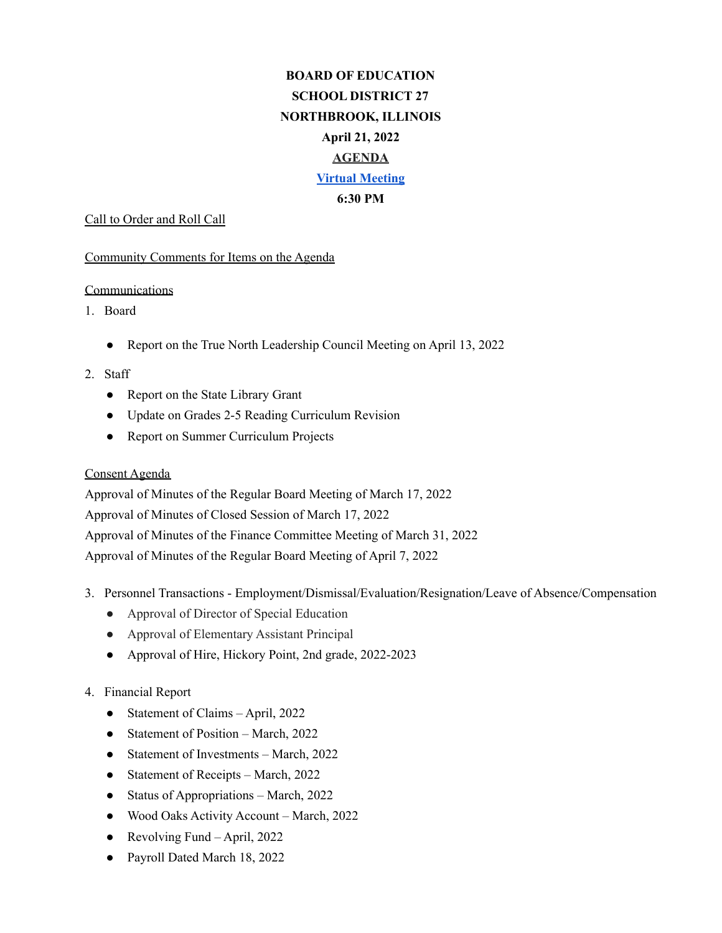# **BOARD OF EDUCATION SCHOOL DISTRICT 27 NORTHBROOK, ILLINOIS April 21, 2022 AGENDA Virtual [Meeting](https://nb27.zoom.us/j/87940709621?pwd=dzFNK21ORDhqWjg3SnJONjRub1ZWZz09) 6:30 PM**

#### Call to Order and Roll Call

#### Community Comments for Items on the Agenda

## **Communications**

- 1. Board
	- Report on the True North Leadership Council Meeting on April 13, 2022
- 2. Staff
	- Report on the State Library Grant
	- Update on Grades 2-5 Reading Curriculum Revision
	- Report on Summer Curriculum Projects

## Consent Agenda

Approval of Minutes of the Regular Board Meeting of March 17, 2022 Approval of Minutes of Closed Session of March 17, 2022 Approval of Minutes of the Finance Committee Meeting of March 31, 2022 Approval of Minutes of the Regular Board Meeting of April 7, 2022

- 3. Personnel Transactions Employment/Dismissal/Evaluation/Resignation/Leave of Absence/Compensation
	- Approval of Director of Special Education
	- Approval of Elementary Assistant Principal
	- Approval of Hire, Hickory Point, 2nd grade, 2022-2023

## 4. Financial Report

- Statement of Claims April, 2022
- Statement of Position March, 2022
- Statement of Investments March, 2022
- Statement of Receipts March, 2022
- Status of Appropriations March, 2022
- Wood Oaks Activity Account March, 2022
- Revolving Fund April, 2022
- Payroll Dated March 18, 2022